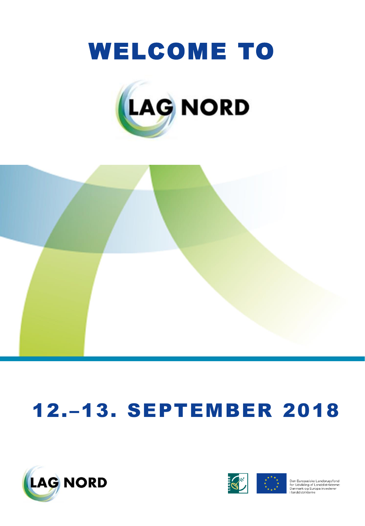





## 12.–13. SEPTEMBER 2018



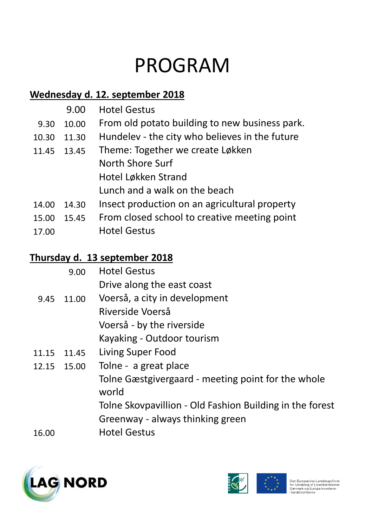## PROGRAM

#### **Wednesday d. 12. september 2018**

|       | 9.00  | <b>Hotel Gestus</b>                            |
|-------|-------|------------------------------------------------|
| 9.30  | 10.00 | From old potato building to new business park. |
| 10.30 | 11.30 | Hundelev - the city who believes in the future |
| 11.45 | 13.45 | Theme: Together we create Løkken               |
|       |       | North Shore Surf                               |
|       |       | Hotel Løkken Strand                            |
|       |       | Lunch and a walk on the beach                  |
| 14.00 | 14.30 | Insect production on an agricultural property  |
| 15.00 | 15.45 | From closed school to creative meeting point   |
| 17.00 |       | <b>Hotel Gestus</b>                            |

#### **Thursday d. 13 september 2018**

|       | 9.00       | <b>Hotel Gestus</b>                                         |
|-------|------------|-------------------------------------------------------------|
|       |            | Drive along the east coast                                  |
|       | 9.45 11.00 | Voerså, a city in development                               |
|       |            | Riverside Voerså                                            |
|       |            | Voerså - by the riverside                                   |
|       |            | Kayaking - Outdoor tourism                                  |
| 11.15 | 11.45      | Living Super Food                                           |
| 12.15 | 15.00      | Tolne - a great place                                       |
|       |            | Tolne Gæstgivergaard - meeting point for the whole<br>world |
|       |            | Tolne Skovpavillion - Old Fashion Building in the forest    |
|       |            | Greenway - always thinking green                            |
| 16.00 |            | <b>Hotel Gestus</b>                                         |
|       |            |                                                             |



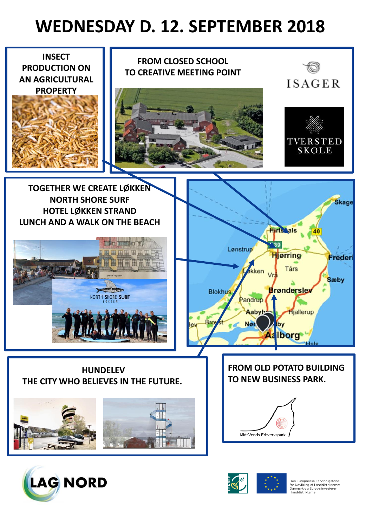### **WEDNESDAY D. 12. SEPTEMBER 2018**





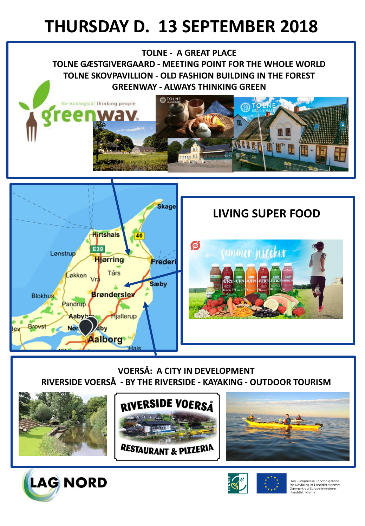### **THURSDAY D. 13 SEPTEMBER 2018**

**TOLNE - A GREAT PLACE TOLNE GÆSTGIVERGAARD - MEETING POINT FOR THE WHOLE WORLD TOLNE SKOVPAVILLION - OLD FASHION BUILDING IN THE FOREST GREENWAY - ALWAYS THINKING GREEN**





#### **LIVING SUPER FOOD**



**VOERSÅ: A CITY IN DEVELOPMENT RIVERSIDE VOERSÅ - BY THE RIVERSIDE - KAYAKING - OUTDOOR TOURISM**